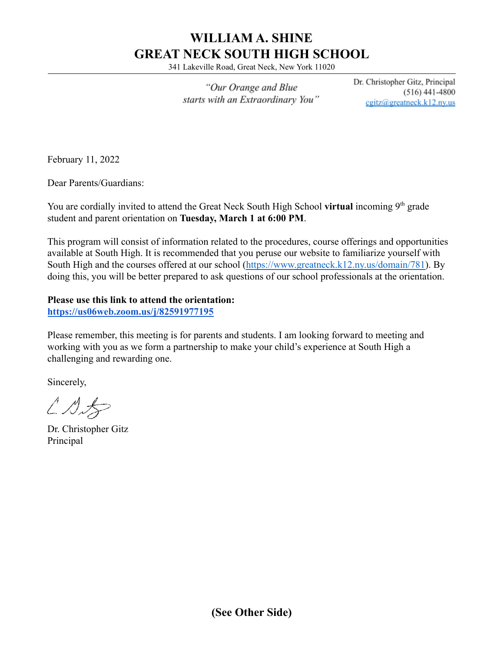# **WILLIAM A. SHINE GREAT NECK SOUTH HIGH SCHOOL**

341 Lakeville Road, Great Neck, New York 11020

"Our Orange and Blue starts with an Extraordinary You" Dr. Christopher Gitz, Principal  $(516)$  441-4800 cgitz@greatneck.k12.ny.us

February 11, 2022

Dear Parents/Guardians:

You are cordially invited to attend the Great Neck South High School **virtual** incoming 9<sup>th</sup> grade student and parent orientation on **Tuesday, March 1 at 6:00 PM**.

This program will consist of information related to the procedures, course offerings and opportunities available at South High. It is recommended that you peruse our website to familiarize yourself with South High and the courses offered at our school ([https://www.greatneck.k12.ny.us/domain/781\)](https://www.greatneck.k12.ny.us/domain/781). By doing this, you will be better prepared to ask questions of our school professionals at the orientation.

#### **Please use this link to attend the orientation:**

**<https://us06web.zoom.us/j/82591977195>**

Please remember, this meeting is for parents and students. I am looking forward to meeting and working with you as we form a partnership to make your child's experience at South High a challenging and rewarding one.

Sincerely,

 $\angle$  D.S

Dr. Christopher Gitz Principal